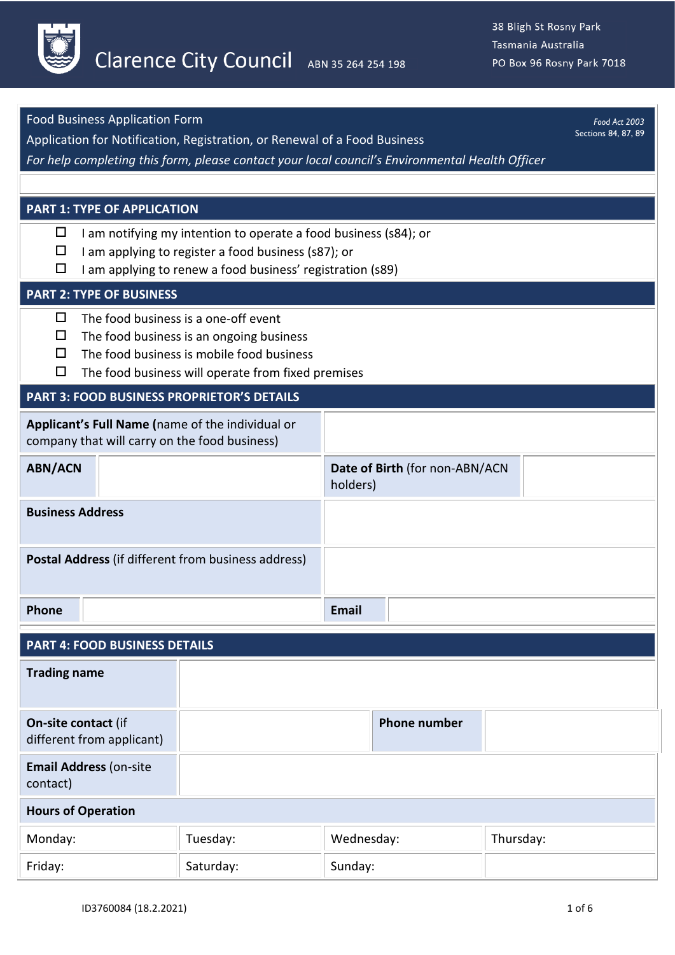

| <b>Food Business Application Form</b>                                                            |                                                                                                                         |                                |                     |           |  | Food Act 2003 |
|--------------------------------------------------------------------------------------------------|-------------------------------------------------------------------------------------------------------------------------|--------------------------------|---------------------|-----------|--|---------------|
| Sections 84, 87, 89<br>Application for Notification, Registration, or Renewal of a Food Business |                                                                                                                         |                                |                     |           |  |               |
| For help completing this form, please contact your local council's Environmental Health Officer  |                                                                                                                         |                                |                     |           |  |               |
|                                                                                                  |                                                                                                                         |                                |                     |           |  |               |
|                                                                                                  | <b>PART 1: TYPE OF APPLICATION</b>                                                                                      |                                |                     |           |  |               |
| □<br>$\Box$                                                                                      | I am notifying my intention to operate a food business (s84); or<br>I am applying to register a food business (s87); or |                                |                     |           |  |               |
| □<br>I am applying to renew a food business' registration (s89)                                  |                                                                                                                         |                                |                     |           |  |               |
| <b>PART 2: TYPE OF BUSINESS</b>                                                                  |                                                                                                                         |                                |                     |           |  |               |
| □                                                                                                | The food business is a one-off event                                                                                    |                                |                     |           |  |               |
| □<br>□                                                                                           | The food business is an ongoing business<br>The food business is mobile food business                                   |                                |                     |           |  |               |
| □                                                                                                | The food business will operate from fixed premises                                                                      |                                |                     |           |  |               |
| <b>PART 3: FOOD BUSINESS PROPRIETOR'S DETAILS</b>                                                |                                                                                                                         |                                |                     |           |  |               |
| Applicant's Full Name (name of the individual or                                                 |                                                                                                                         |                                |                     |           |  |               |
| company that will carry on the food business)                                                    |                                                                                                                         |                                |                     |           |  |               |
| <b>ABN/ACN</b>                                                                                   |                                                                                                                         | Date of Birth (for non-ABN/ACN |                     |           |  |               |
|                                                                                                  |                                                                                                                         | holders)                       |                     |           |  |               |
| <b>Business Address</b>                                                                          |                                                                                                                         |                                |                     |           |  |               |
|                                                                                                  |                                                                                                                         |                                |                     |           |  |               |
| Postal Address (if different from business address)                                              |                                                                                                                         |                                |                     |           |  |               |
|                                                                                                  |                                                                                                                         |                                |                     |           |  |               |
| Phone                                                                                            |                                                                                                                         | Email                          |                     |           |  |               |
| <b>PART 4: FOOD BUSINESS DETAILS</b>                                                             |                                                                                                                         |                                |                     |           |  |               |
| <b>Trading name</b>                                                                              |                                                                                                                         |                                |                     |           |  |               |
|                                                                                                  |                                                                                                                         |                                |                     |           |  |               |
| On-site contact (if                                                                              |                                                                                                                         |                                | <b>Phone number</b> |           |  |               |
| different from applicant)                                                                        |                                                                                                                         |                                |                     |           |  |               |
| <b>Email Address (on-site</b><br>contact)                                                        |                                                                                                                         |                                |                     |           |  |               |
| <b>Hours of Operation</b>                                                                        |                                                                                                                         |                                |                     |           |  |               |
| Monday:                                                                                          | Tuesday:                                                                                                                | Wednesday:                     |                     | Thursday: |  |               |
| Friday:                                                                                          | Saturday:                                                                                                               | Sunday:                        |                     |           |  |               |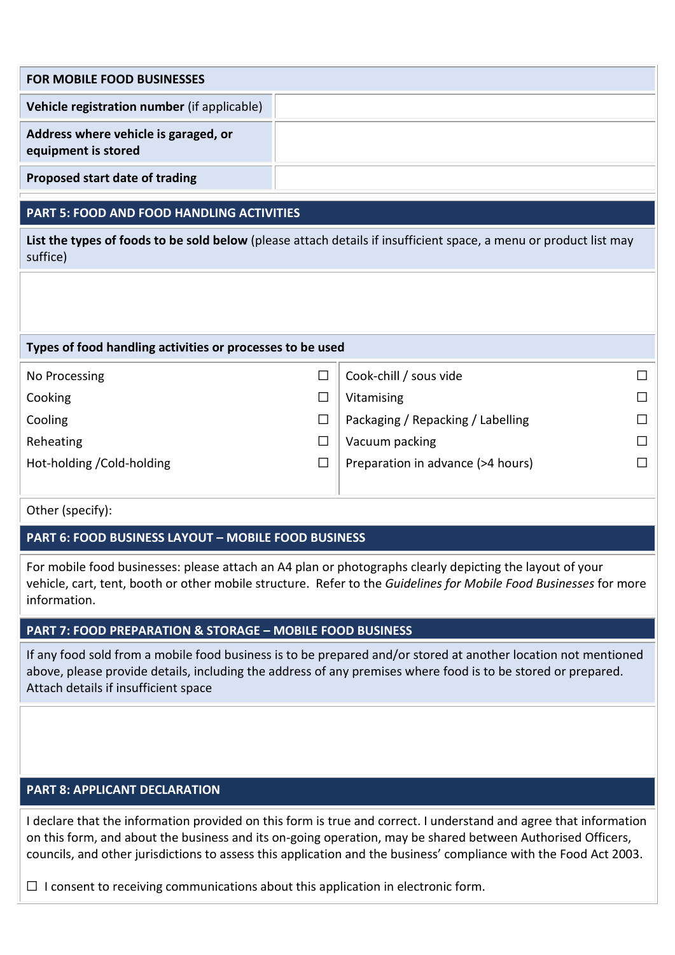| <b>FOR MOBILE FOOD BUSINESSES</b>                           |  |  |
|-------------------------------------------------------------|--|--|
| Vehicle registration number (if applicable)                 |  |  |
| Address where vehicle is garaged, or<br>equipment is stored |  |  |
| Proposed start date of trading                              |  |  |

# **PART 5: FOOD AND FOOD HANDLING ACTIVITIES**

**List the types of foods to be sold below** (please attach details if insufficient space, a menu or product list may suffice)

#### **Types of food handling activities or processes to be used**

| No Processing              | Cook-chill / sous vide            | П. |
|----------------------------|-----------------------------------|----|
| Cooking                    | Vitamising                        | П. |
| Cooling                    | Packaging / Repacking / Labelling | П. |
| Reheating                  | Vacuum packing                    | П. |
| Hot-holding / Cold-holding | Preparation in advance (>4 hours) |    |
|                            |                                   |    |

Other (specify):

## **PART 6: FOOD BUSINESS LAYOUT – MOBILE FOOD BUSINESS**

For mobile food businesses: please attach an A4 plan or photographs clearly depicting the layout of your vehicle, cart, tent, booth or other mobile structure. Refer to the *Guidelines for Mobile Food Businesses* for more information.

## **PART 7: FOOD PREPARATION & STORAGE – MOBILE FOOD BUSINESS**

If any food sold from a mobile food business is to be prepared and/or stored at another location not mentioned above, please provide details, including the address of any premises where food is to be stored or prepared. Attach details if insufficient space

# **PART 8: APPLICANT DECLARATION**

I declare that the information provided on this form is true and correct. I understand and agree that information on this form, and about the business and its on-going operation, may be shared between Authorised Officers, councils, and other jurisdictions to assess this application and the business' compliance with the Food Act 2003.

 $\Box$  I consent to receiving communications about this application in electronic form.